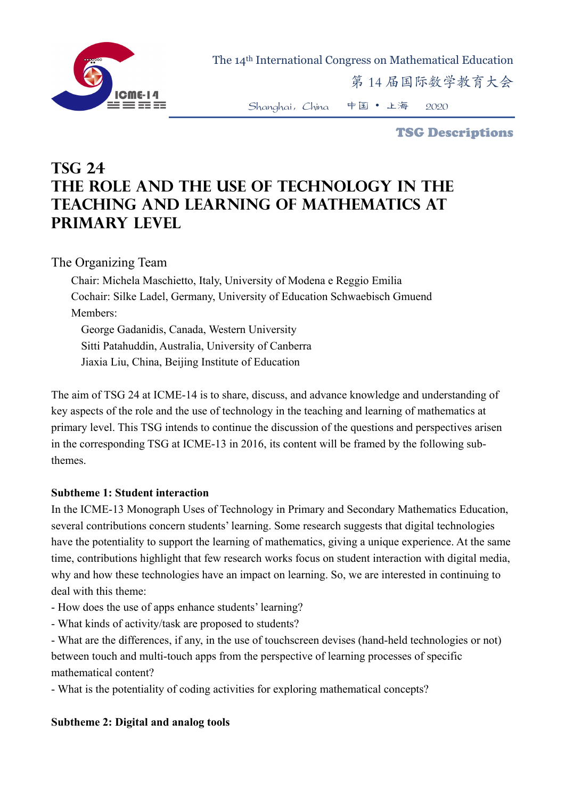

The 14th International Congress on Mathematical Education

第 14 届国际数学教育大会

Shanghai,China 中国 • 上海 2020

TSG Descriptions

# **TSG 24 The role and the use of technology in the teaching and learning of mathematics at primary level**

The Organizing Team

Chair: Michela Maschietto, Italy, University of Modena e Reggio Emilia Cochair: Silke Ladel, Germany, University of Education Schwaebisch Gmuend Members: George Gadanidis, Canada, Western University

Sitti Patahuddin, Australia, University of Canberra

Jiaxia Liu, China, Beijing Institute of Education

The aim of TSG 24 at ICME-14 is to share, discuss, and advance knowledge and understanding of key aspects of the role and the use of technology in the teaching and learning of mathematics at primary level. This TSG intends to continue the discussion of the questions and perspectives arisen in the corresponding TSG at ICME-13 in 2016, its content will be framed by the following subthemes.

#### **Subtheme 1: Student interaction**

In the ICME-13 Monograph Uses of Technology in Primary and Secondary Mathematics Education, several contributions concern students' learning. Some research suggests that digital technologies have the potentiality to support the learning of mathematics, giving a unique experience. At the same time, contributions highlight that few research works focus on student interaction with digital media, why and how these technologies have an impact on learning. So, we are interested in continuing to deal with this theme:

- How does the use of apps enhance students' learning?

- What kinds of activity/task are proposed to students?

- What are the differences, if any, in the use of touchscreen devises (hand-held technologies or not) between touch and multi-touch apps from the perspective of learning processes of specific mathematical content?

- What is the potentiality of coding activities for exploring mathematical concepts?

#### **Subtheme 2: Digital and analog tools**